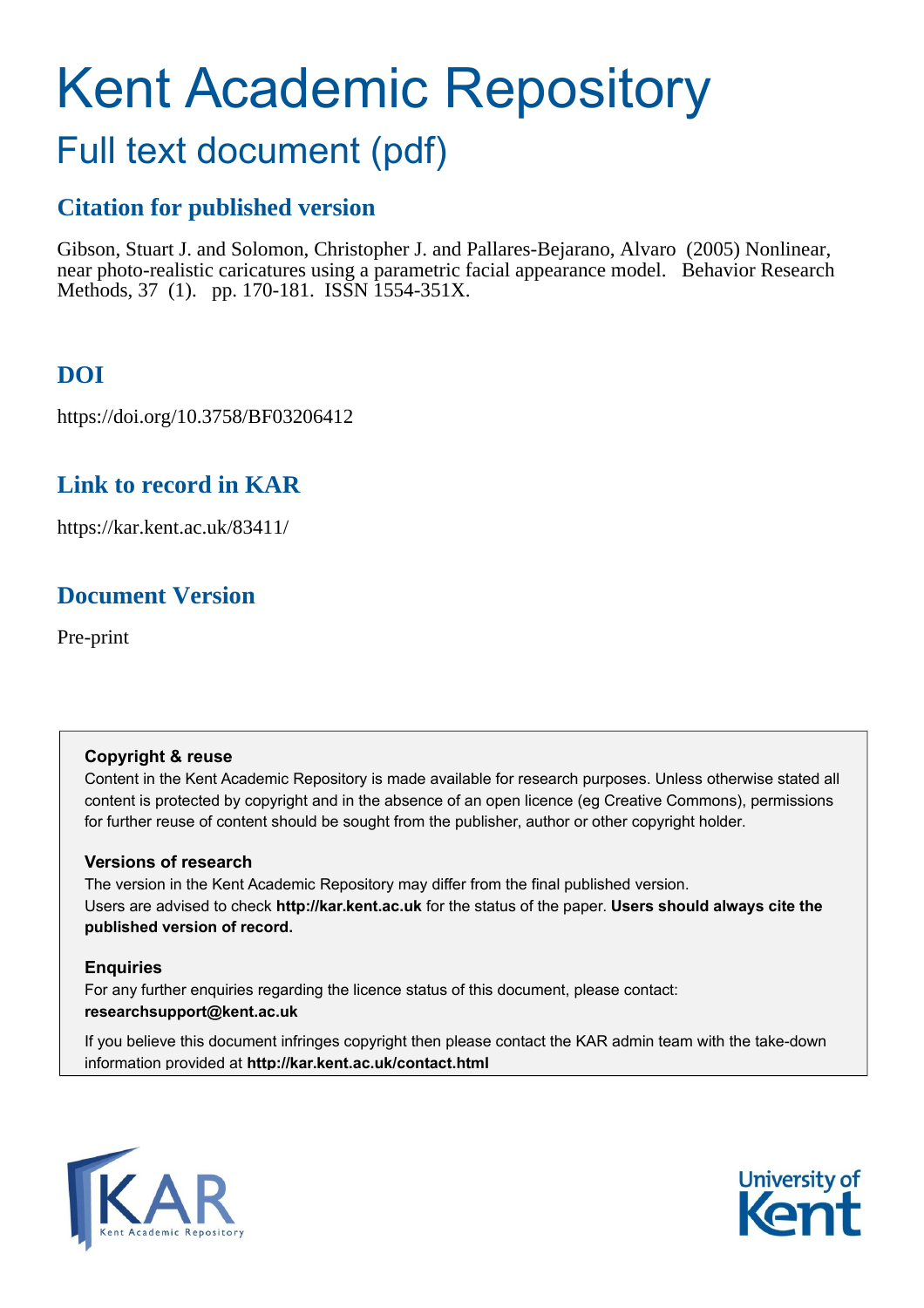# Kent Academic Repository

## Full text document (pdf)

## **Citation for published version**

Gibson, Stuart J. and Solomon, Christopher J. and Pallares-Bejarano, Alvaro (2005) Nonlinear, near photo-realistic caricatures using a parametric facial appearance model. Behavior Research Methods, 37 (1). pp. 170-181. ISSN 1554-351X.

## **DOI**

https://doi.org/10.3758/BF03206412

## **Link to record in KAR**

https://kar.kent.ac.uk/83411/

## **Document Version**

Pre-print

#### **Copyright & reuse**

Content in the Kent Academic Repository is made available for research purposes. Unless otherwise stated all content is protected by copyright and in the absence of an open licence (eg Creative Commons), permissions for further reuse of content should be sought from the publisher, author or other copyright holder.

#### **Versions of research**

The version in the Kent Academic Repository may differ from the final published version. Users are advised to check **http://kar.kent.ac.uk** for the status of the paper. **Users should always cite the published version of record.**

#### **Enquiries**

For any further enquiries regarding the licence status of this document, please contact: **researchsupport@kent.ac.uk**

If you believe this document infringes copyright then please contact the KAR admin team with the take-down information provided at **http://kar.kent.ac.uk/contact.html**



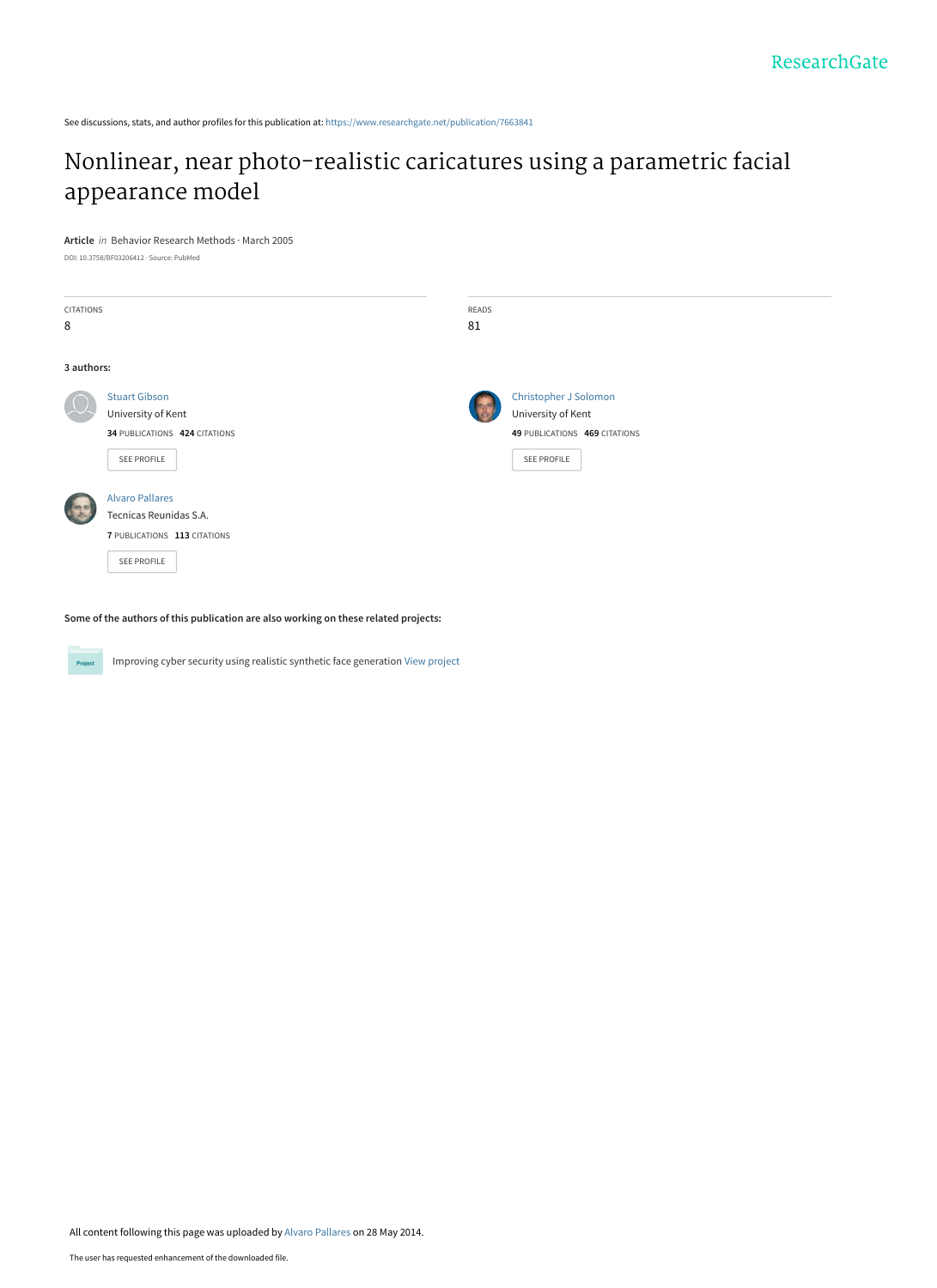See discussions, stats, and author profiles for this publication at: [https://www.researchgate.net/publication/7663841](https://www.researchgate.net/publication/7663841_Nonlinear_near_photo-realistic_caricatures_using_a_parametric_facial_appearance_model?enrichId=rgreq-7077c9640e54021cc8c8557ad7e6b452-XXX&enrichSource=Y292ZXJQYWdlOzc2NjM4NDE7QVM6MTAxNjk1OTkyMzY5MTU1QDE0MDEyNTc2MjI0MjE%3D&el=1_x_2&_esc=publicationCoverPdf)

## [Nonlinear, near photo-realistic caricatures using a parametric facial](https://www.researchgate.net/publication/7663841_Nonlinear_near_photo-realistic_caricatures_using_a_parametric_facial_appearance_model?enrichId=rgreq-7077c9640e54021cc8c8557ad7e6b452-XXX&enrichSource=Y292ZXJQYWdlOzc2NjM4NDE7QVM6MTAxNjk1OTkyMzY5MTU1QDE0MDEyNTc2MjI0MjE%3D&el=1_x_3&_esc=publicationCoverPdf) appearance model

#### **Article** in Behavior Research Methods · March 2005

DOI: 10.3758/BF03206412 · Source: PubMed

| CITATIONS<br>8 |                                                                                                 | READS<br>81 |                                                                                             |
|----------------|-------------------------------------------------------------------------------------------------|-------------|---------------------------------------------------------------------------------------------|
| 3 authors:     |                                                                                                 |             |                                                                                             |
|                | <b>Stuart Gibson</b><br>University of Kent<br>34 PUBLICATIONS 424 CITATIONS<br>SEE PROFILE      |             | Christopher J Solomon<br>University of Kent<br>49 PUBLICATIONS 469 CITATIONS<br>SEE PROFILE |
|                | <b>Alvaro Pallares</b><br>Tecnicas Reunidas S.A.<br>7 PUBLICATIONS 113 CITATIONS<br>SEE PROFILE |             |                                                                                             |

**Some of the authors of this publication are also working on these related projects:**

**Project** 

Improving cyber security using realistic synthetic face generation [View project](https://www.researchgate.net/project/Improving-cyber-security-using-realistic-synthetic-face-generation?enrichId=rgreq-7077c9640e54021cc8c8557ad7e6b452-XXX&enrichSource=Y292ZXJQYWdlOzc2NjM4NDE7QVM6MTAxNjk1OTkyMzY5MTU1QDE0MDEyNTc2MjI0MjE%3D&el=1_x_9&_esc=publicationCoverPdf)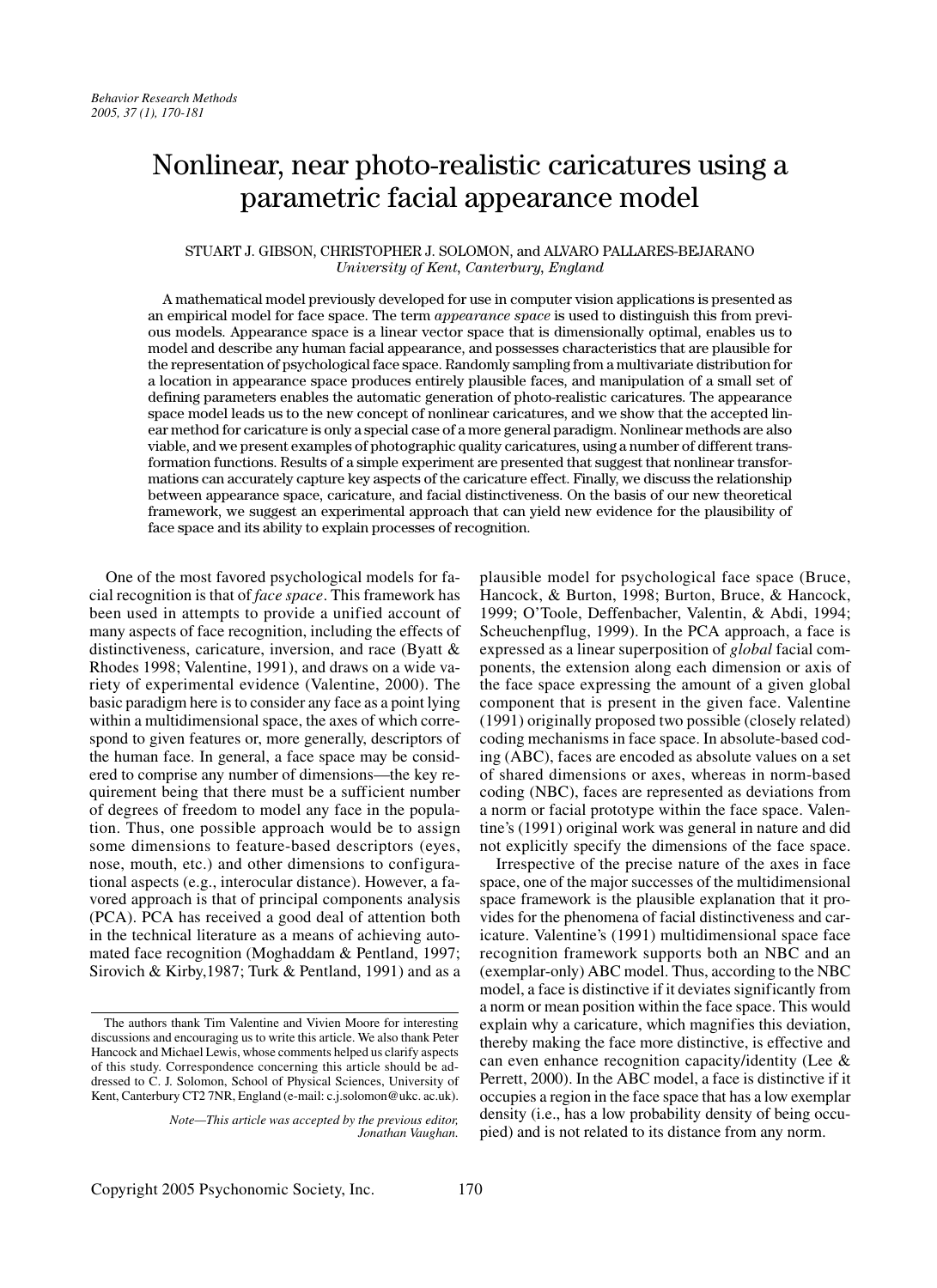## Nonlinear, near photo-realistic caricatures using a parametric facial appearance model

#### STUART J. GIBSON, CHRISTOPHER J. SOLOMON, and ALVARO PALLARES-BEJARANO *University of Kent, Canterbury, England*

A mathematical model previously developed for use in computer vision applications is presented as an empirical model for face space. The term *appearance space* is used to distinguish this from previous models. Appearance space is a linear vector space that is dimensionally optimal, enables us to model and describe any human facial appearance, and possesses characteristics that are plausible for the representation of psychological face space. Randomly sampling from a multivariate distribution for a location in appearance space produces entirely plausible faces, and manipulation of a small set of defining parameters enables the automatic generation of photo-realistic caricatures. The appearance space model leads us to the new concept of nonlinear caricatures, and we show that the accepted linear method for caricature is only a special case of a more general paradigm. Nonlinear methods are also viable, and we present examples of photographic quality caricatures, using a number of different transformation functions. Results of a simple experiment are presented that suggest that nonlinear transformations can accurately capture key aspects of the caricature effect. Finally, we discuss the relationship between appearance space, caricature, and facial distinctiveness. On the basis of our new theoretical framework, we suggest an experimental approach that can yield new evidence for the plausibility of face space and its ability to explain processes of recognition.

One of the most favored psychological models for facial recognition is that of *face space*. This framework has been used in attempts to provide a unified account of many aspects of face recognition, including the effects of distinctiveness, caricature, inversion, and race (Byatt & Rhodes 1998; Valentine, 1991), and draws on a wide variety of experimental evidence (Valentine, 2000). The basic paradigm here is to consider any face as a point lying within a multidimensional space, the axes of which correspond to given features or, more generally, descriptors of the human face. In general, a face space may be considered to comprise any number of dimensions—the key requirement being that there must be a sufficient number of degrees of freedom to model any face in the population. Thus, one possible approach would be to assign some dimensions to feature-based descriptors (eyes, nose, mouth, etc.) and other dimensions to configurational aspects (e.g., interocular distance). However, a favored approach is that of principal components analysis (PCA). PCA has received a good deal of attention both in the technical literature as a means of achieving automated face recognition (Moghaddam & Pentland, 1997; Sirovich & Kirby,1987; Turk & Pentland, 1991) and as a

*Note—This article was accepted by the previous editor, Jonathan Vaughan.* plausible model for psychological face space (Bruce, Hancock, & Burton, 1998; Burton, Bruce, & Hancock, 1999; O'Toole, Deffenbacher, Valentin, & Abdi, 1994; Scheuchenpflug, 1999). In the PCA approach, a face is expressed as a linear superposition of *global* facial components, the extension along each dimension or axis of the face space expressing the amount of a given global component that is present in the given face. Valentine (1991) originally proposed two possible (closely related) coding mechanisms in face space. In absolute-based coding (ABC), faces are encoded as absolute values on a set of shared dimensions or axes, whereas in norm-based coding (NBC), faces are represented as deviations from a norm or facial prototype within the face space. Valentine's (1991) original work was general in nature and did not explicitly specify the dimensions of the face space.

Irrespective of the precise nature of the axes in face space, one of the major successes of the multidimensional space framework is the plausible explanation that it provides for the phenomena of facial distinctiveness and caricature. Valentine's (1991) multidimensional space face recognition framework supports both an NBC and an (exemplar-only) ABC model. Thus, according to the NBC model, a face is distinctive if it deviates significantly from a norm or mean position within the face space. This would explain why a caricature, which magnifies this deviation, thereby making the face more distinctive, is effective and can even enhance recognition capacity/identity (Lee & Perrett, 2000). In the ABC model, a face is distinctive if it occupies a region in the face space that has a low exemplar density (i.e., has a low probability density of being occupied) and is not related to its distance from any norm.

The authors thank Tim Valentine and Vivien Moore for interesting discussions and encouraging us to write this article. We also thank Peter Hancock and Michael Lewis, whose comments helped us clarify aspects of this study. Correspondence concerning this article should be addressed to C. J. Solomon, School of Physical Sciences, University of Kent, Canterbury CT2 7NR, England (e-mail: c.j.solomon@ukc. ac.uk).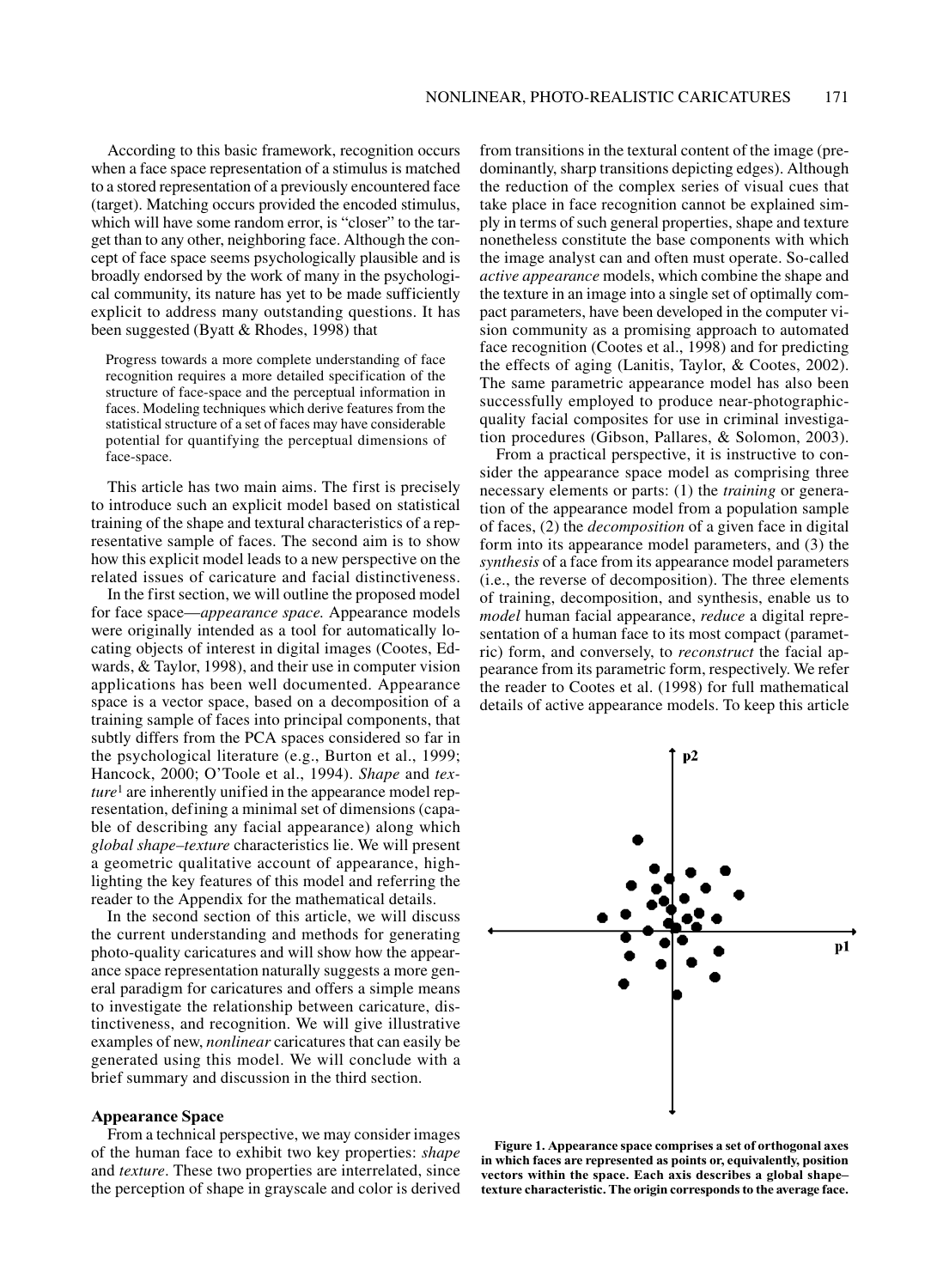According to this basic framework, recognition occurs when a face space representation of a stimulus is matched to a stored representation of a previously encountered face (target). Matching occurs provided the encoded stimulus, which will have some random error, is "closer" to the target than to any other, neighboring face. Although the concept of face space seems psychologically plausible and is broadly endorsed by the work of many in the psychological community, its nature has yet to be made sufficiently explicit to address many outstanding questions. It has been suggested (Byatt & Rhodes, 1998) that

Progress towards a more complete understanding of face recognition requires a more detailed specification of the structure of face-space and the perceptual information in faces. Modeling techniques which derive features from the statistical structure of a set of faces may have considerable potential for quantifying the perceptual dimensions of face-space.

This article has two main aims. The first is precisely to introduce such an explicit model based on statistical training of the shape and textural characteristics of a representative sample of faces. The second aim is to show how this explicit model leads to a new perspective on the related issues of caricature and facial distinctiveness.

In the first section, we will outline the proposed model for face space—*appearance space.* Appearance models were originally intended as a tool for automatically locating objects of interest in digital images (Cootes, Edwards, & Taylor, 1998), and their use in computer vision applications has been well documented. Appearance space is a vector space, based on a decomposition of a training sample of faces into principal components, that subtly differs from the PCA spaces considered so far in the psychological literature (e.g., Burton et al., 1999; Hancock, 2000; O'Toole et al., 1994). *Shape* and *texture*<sup>1</sup> are inherently unified in the appearance model representation, defining a minimal set of dimensions (capable of describing any facial appearance) along which *global shape–texture* characteristics lie. We will present a geometric qualitative account of appearance, highlighting the key features of this model and referring the reader to the Appendix for the mathematical details.

In the second section of this article, we will discuss the current understanding and methods for generating photo-quality caricatures and will show how the appearance space representation naturally suggests a more general paradigm for caricatures and offers a simple means to investigate the relationship between caricature, distinctiveness, and recognition. We will give illustrative examples of new, *nonlinear* caricatures that can easily be generated using this model. We will conclude with a brief summary and discussion in the third section.

#### **Appearance Space**

From a technical perspective, we may consider images of the human face to exhibit two key properties: *shape* and *texture*. These two properties are interrelated, since the perception of shape in grayscale and color is derived from transitions in the textural content of the image (predominantly, sharp transitions depicting edges). Although the reduction of the complex series of visual cues that take place in face recognition cannot be explained simply in terms of such general properties, shape and texture nonetheless constitute the base components with which the image analyst can and often must operate. So-called *active appearance* models, which combine the shape and the texture in an image into a single set of optimally compact parameters, have been developed in the computer vision community as a promising approach to automated face recognition (Cootes et al., 1998) and for predicting the effects of aging (Lanitis, Taylor, & Cootes, 2002). The same parametric appearance model has also been successfully employed to produce near-photographicquality facial composites for use in criminal investigation procedures (Gibson, Pallares, & Solomon, 2003).

From a practical perspective, it is instructive to consider the appearance space model as comprising three necessary elements or parts: (1) the *training* or generation of the appearance model from a population sample of faces, (2) the *decomposition* of a given face in digital form into its appearance model parameters, and (3) the *synthesis* of a face from its appearance model parameters (i.e., the reverse of decomposition). The three elements of training, decomposition, and synthesis, enable us to *model* human facial appearance, *reduce* a digital representation of a human face to its most compact (parametric) form, and conversely, to *reconstruct* the facial appearance from its parametric form, respectively. We refer the reader to Cootes et al. (1998) for full mathematical details of active appearance models. To keep this article



**Figure 1. Appearance space comprises a set of orthogonal axes in which faces are represented as points or, equivalently, position vectors within the space. Each axis describes a global shape– texture characteristic. The origin corresponds to the average face.**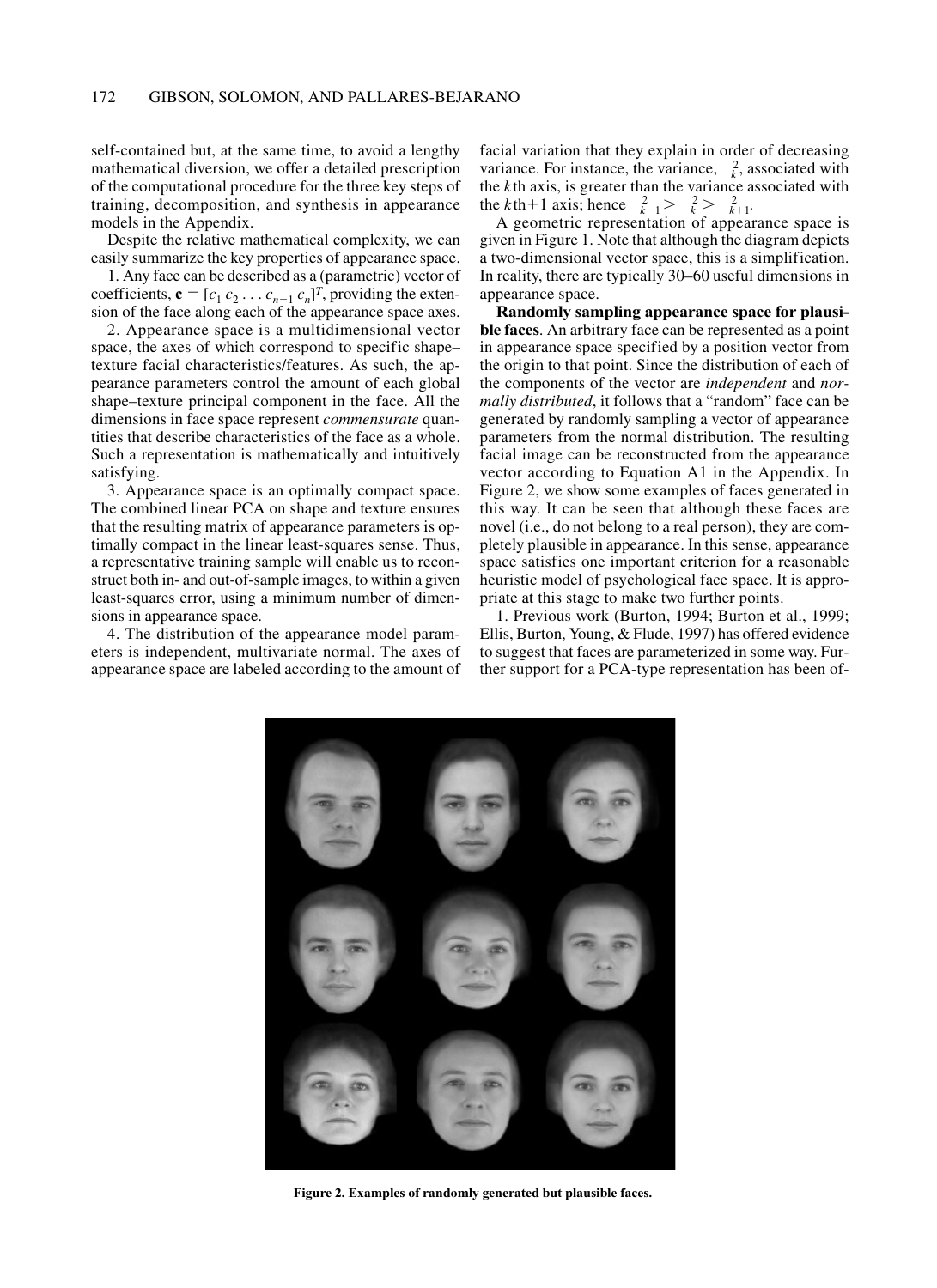self-contained but, at the same time, to avoid a lengthy mathematical diversion, we offer a detailed prescription of the computational procedure for the three key steps of training, decomposition, and synthesis in appearance models in the Appendix.

Despite the relative mathematical complexity, we can easily summarize the key properties of appearance space.

1. Any face can be described as a (parametric) vector of coefficients,  $\mathbf{c} = [c_1 c_2 \dots c_{n-1} c_n]^T$ , providing the extension of the face along each of the appearance space axes.

2. Appearance space is a multidimensional vector space, the axes of which correspond to specific shape– texture facial characteristics/features. As such, the appearance parameters control the amount of each global shape–texture principal component in the face. All the dimensions in face space represent *commensurate* quantities that describe characteristics of the face as a whole. Such a representation is mathematically and intuitively satisfying.

3. Appearance space is an optimally compact space. The combined linear PCA on shape and texture ensures that the resulting matrix of appearance parameters is optimally compact in the linear least-squares sense. Thus, a representative training sample will enable us to reconstruct both in- and out-of-sample images, to within a given least-squares error, using a minimum number of dimensions in appearance space.

4. The distribution of the appearance model parameters is independent, multivariate normal. The axes of appearance space are labeled according to the amount of facial variation that they explain in order of decreasing variance. For instance, the variance,  $\frac{2}{k}$ , associated with the *k*th axis, is greater than the variance associated with the *k*th+1 axis; hence  $\frac{2}{k-1} > \frac{2}{k} > \frac{2}{k+1}$ .

A geometric representation of appearance space is given in Figure 1. Note that although the diagram depicts a two-dimensional vector space, this is a simplification. In reality, there are typically 30–60 useful dimensions in appearance space.

**Randomly sampling appearance space for plausible faces**. An arbitrary face can be represented as a point in appearance space specified by a position vector from the origin to that point. Since the distribution of each of the components of the vector are *independent* and *normally distributed*, it follows that a "random" face can be generated by randomly sampling a vector of appearance parameters from the normal distribution. The resulting facial image can be reconstructed from the appearance vector according to Equation A1 in the Appendix. In Figure 2, we show some examples of faces generated in this way. It can be seen that although these faces are novel (i.e., do not belong to a real person), they are completely plausible in appearance. In this sense, appearance space satisfies one important criterion for a reasonable heuristic model of psychological face space. It is appropriate at this stage to make two further points.

1. Previous work (Burton, 1994; Burton et al., 1999; Ellis, Burton, Young, & Flude, 1997) has offered evidence to suggest that faces are parameterized in some way. Further support for a PCA-type representation has been of-



**Figure 2. Examples of randomly generated but plausible faces.**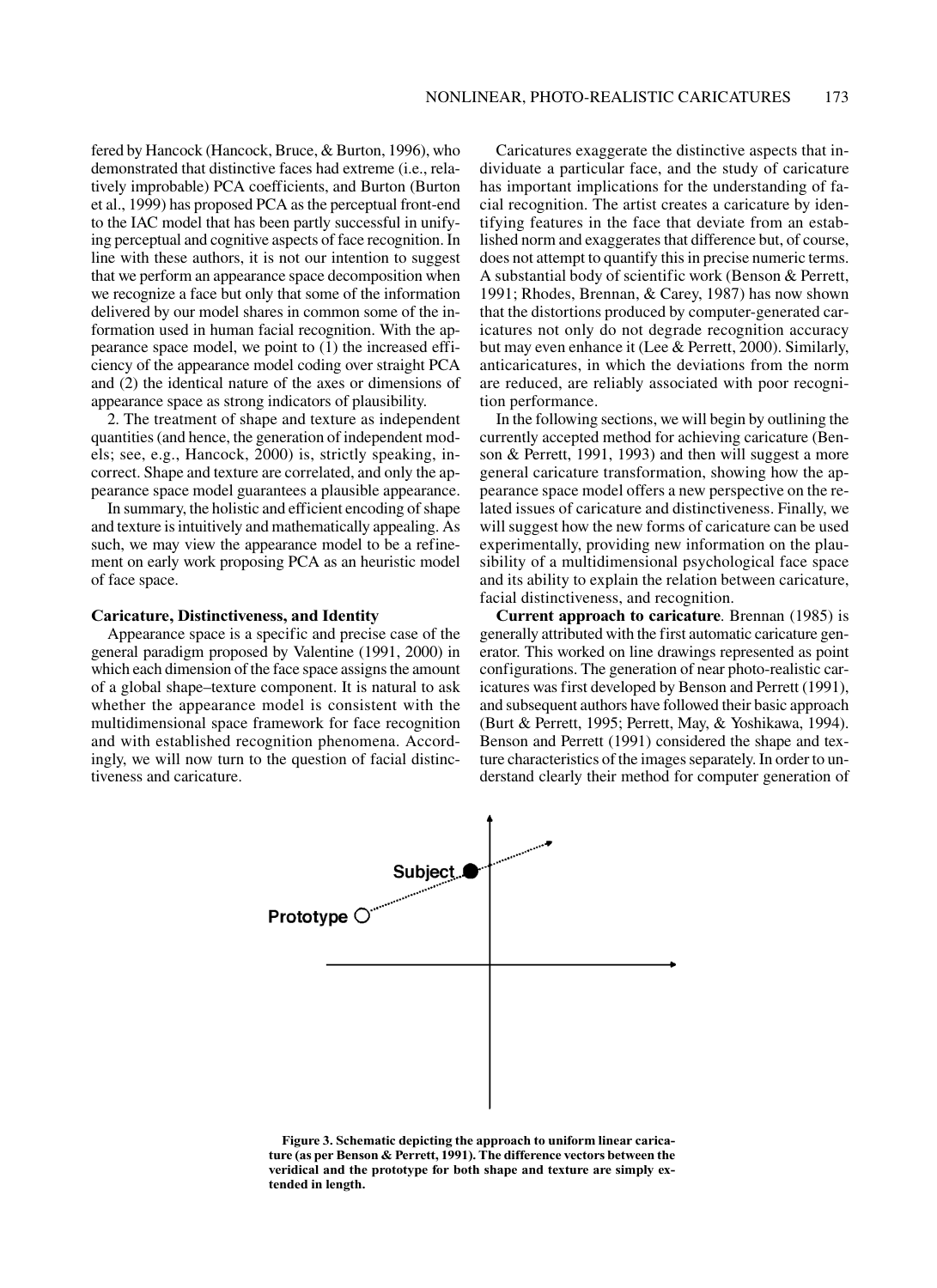fered by Hancock (Hancock, Bruce, & Burton, 1996), who demonstrated that distinctive faces had extreme (i.e., relatively improbable) PCA coefficients, and Burton (Burton et al., 1999) has proposed PCA as the perceptual front-end to the IAC model that has been partly successful in unifying perceptual and cognitive aspects of face recognition. In line with these authors, it is not our intention to suggest that we perform an appearance space decomposition when we recognize a face but only that some of the information delivered by our model shares in common some of the information used in human facial recognition. With the appearance space model, we point to (1) the increased efficiency of the appearance model coding over straight PCA and (2) the identical nature of the axes or dimensions of appearance space as strong indicators of plausibility.

2. The treatment of shape and texture as independent quantities (and hence, the generation of independent models; see, e.g., Hancock, 2000) is, strictly speaking, incorrect. Shape and texture are correlated, and only the appearance space model guarantees a plausible appearance.

In summary, the holistic and efficient encoding of shape and texture is intuitively and mathematically appealing. As such, we may view the appearance model to be a refinement on early work proposing PCA as an heuristic model of face space.

#### **Caricature, Distinctiveness, and Identity**

Appearance space is a specific and precise case of the general paradigm proposed by Valentine (1991, 2000) in which each dimension of the face space assigns the amount of a global shape–texture component. It is natural to ask whether the appearance model is consistent with the multidimensional space framework for face recognition and with established recognition phenomena. Accordingly, we will now turn to the question of facial distinctiveness and caricature.

Caricatures exaggerate the distinctive aspects that individuate a particular face, and the study of caricature has important implications for the understanding of facial recognition. The artist creates a caricature by identifying features in the face that deviate from an established norm and exaggerates that difference but, of course, does not attempt to quantify this in precise numeric terms. A substantial body of scientific work (Benson & Perrett, 1991; Rhodes, Brennan, & Carey, 1987) has now shown that the distortions produced by computer-generated caricatures not only do not degrade recognition accuracy but may even enhance it (Lee & Perrett, 2000). Similarly, anticaricatures, in which the deviations from the norm are reduced, are reliably associated with poor recognition performance.

In the following sections, we will begin by outlining the currently accepted method for achieving caricature (Benson & Perrett, 1991, 1993) and then will suggest a more general caricature transformation, showing how the appearance space model offers a new perspective on the related issues of caricature and distinctiveness. Finally, we will suggest how the new forms of caricature can be used experimentally, providing new information on the plausibility of a multidimensional psychological face space and its ability to explain the relation between caricature, facial distinctiveness, and recognition.

**Current approach to caricature**. Brennan (1985) is generally attributed with the first automatic caricature generator. This worked on line drawings represented as point configurations. The generation of near photo-realistic caricatures was first developed by Benson and Perrett (1991), and subsequent authors have followed their basic approach (Burt & Perrett, 1995; Perrett, May, & Yoshikawa, 1994). Benson and Perrett (1991) considered the shape and texture characteristics of the images separately. In order to understand clearly their method for computer generation of



**Figure 3. Schematic depicting the approach to uniform linear caricature (as per Benson & Perrett, 1991). The difference vectors between the veridical and the prototype for both shape and texture are simply extended in length.**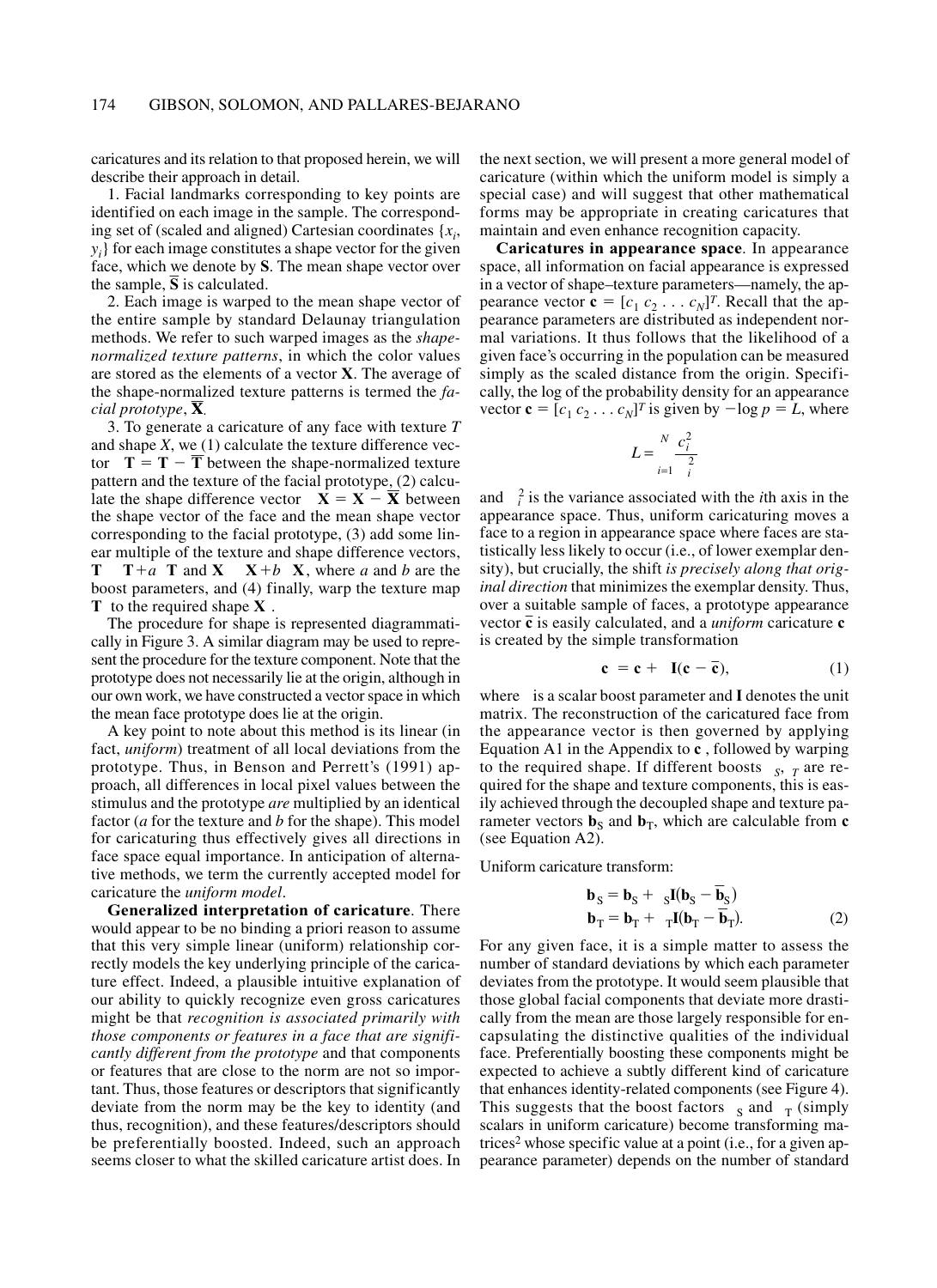caricatures and its relation to that proposed herein, we will describe their approach in detail.

1. Facial landmarks corresponding to key points are identified on each image in the sample. The corresponding set of (scaled and aligned) Cartesian coordinates {*xi* , *yi* } for each image constitutes a shape vector for the given face, which we denote by **S**. The mean shape vector over the sample,  $\overline{S}$  is calculated.

2. Each image is warped to the mean shape vector of the entire sample by standard Delaunay triangulation methods. We refer to such warped images as the *shapenormalized texture patterns*, in which the color values are stored as the elements of a vector **X**. The average of the shape-normalized texture patterns is termed the *facial prototype*, **X** -.

3. To generate a caricature of any face with texture *T* and shape *X*, we (1) calculate the texture difference vector  $T = T - \overline{T}$  between the shape-normalized texture pattern and the texture of the facial prototype, (2) calculate the shape difference vector  $X = X - \overline{X}$  between the shape vector of the face and the mean shape vector corresponding to the facial prototype, (3) add some linear multiple of the texture and shape difference vectors, **TT** $+a$ **T** and **XK** $+ b$ **X**, where *a* and *b* are the boost parameters, and (4) finally, warp the texture map **T** to the required shape **X** .

The procedure for shape is represented diagrammatically in Figure 3. A similar diagram may be used to represent the procedure for the texture component. Note that the prototype does not necessarily lie at the origin, although in our own work, we have constructed a vector space in which the mean face prototype does lie at the origin.

A key point to note about this method is its linear (in fact, *uniform*) treatment of all local deviations from the prototype. Thus, in Benson and Perrett's (1991) approach, all differences in local pixel values between the stimulus and the prototype *are* multiplied by an identical factor (*a* for the texture and *b* for the shape). This model for caricaturing thus effectively gives all directions in face space equal importance. In anticipation of alternative methods, we term the currently accepted model for caricature the *uniform model*.

**Generalized interpretation of caricature**. There would appear to be no binding a priori reason to assume that this very simple linear (uniform) relationship correctly models the key underlying principle of the caricature effect. Indeed, a plausible intuitive explanation of our ability to quickly recognize even gross caricatures might be that *recognition is associated primarily with those components or features in a face that are significantly different from the prototype* and that components or features that are close to the norm are not so important. Thus, those features or descriptors that significantly deviate from the norm may be the key to identity (and thus, recognition), and these features/descriptors should be preferentially boosted. Indeed, such an approach seems closer to what the skilled caricature artist does. In

the next section, we will present a more general model of caricature (within which the uniform model is simply a special case) and will suggest that other mathematical forms may be appropriate in creating caricatures that maintain and even enhance recognition capacity.

**Caricatures in appearance space**. In appearance space, all information on facial appearance is expressed in a vector of shape–texture parameters—namely, the appearance vector  $\mathbf{c} = [c_1 \ c_2 \dots c_N]^T$ . Recall that the appearance parameters are distributed as independent normal variations. It thus follows that the likelihood of a given face's occurring in the population can be measured simply as the scaled distance from the origin. Specifically, the log of the probability density for an appearance vector  $\mathbf{c} = [c_1 c_2 \dots c_N]^T$  is given by  $-\log p = L$ , where

$$
L = \frac{N}{\sum_{i=1}^{i} \frac{c_i^2}{i}}
$$

and  $\frac{2}{i}$  is the variance associated with the *i*th axis in the appearance space. Thus, uniform caricaturing moves a face to a region in appearance space where faces are statistically less likely to occur (i.e., of lower exemplar density), but crucially, the shift *is precisely along that original direction* that minimizes the exemplar density. Thus, over a suitable sample of faces, a prototype appearance vector  $\bar{\mathbf{c}}$  is easily calculated, and a *uniform* caricature **c** is created by the simple transformation

$$
\mathbf{c} = \mathbf{c} + \mathbf{I}(\mathbf{c} - \overline{\mathbf{c}}), \tag{1}
$$

where is a scalar boost parameter and **I** denotes the unit matrix. The reconstruction of the caricatured face from the appearance vector is then governed by applying Equation A1 in the Appendix to **c** , followed by warping to the required shape. If different boosts  $S$ ,  $T$  are required for the shape and texture components, this is easily achieved through the decoupled shape and texture parameter vectors  $\mathbf{b}_S$  and  $\mathbf{b}_T$ , which are calculable from  $\mathbf{c}$ (see Equation A2).

Uniform caricature transform:

$$
\mathbf{b}_S = \mathbf{b}_S + \mathbf{s} \mathbf{I} (\mathbf{b}_S - \mathbf{b}_S)
$$
  
\n
$$
\mathbf{b}_T = \mathbf{b}_T + \mathbf{I} \mathbf{I} (\mathbf{b}_T - \overline{\mathbf{b}}_T). \tag{2}
$$

For any given face, it is a simple matter to assess the number of standard deviations by which each parameter deviates from the prototype. It would seem plausible that those global facial components that deviate more drastically from the mean are those largely responsible for encapsulating the distinctive qualities of the individual face. Preferentially boosting these components might be expected to achieve a subtly different kind of caricature that enhances identity-related components (see Figure 4). This suggests that the boost factors  $\frac{1}{S}$  and  $\frac{1}{T}$  (simply scalars in uniform caricature) become transforming matrices<sup>2</sup> whose specific value at a point (i.e., for a given appearance parameter) depends on the number of standard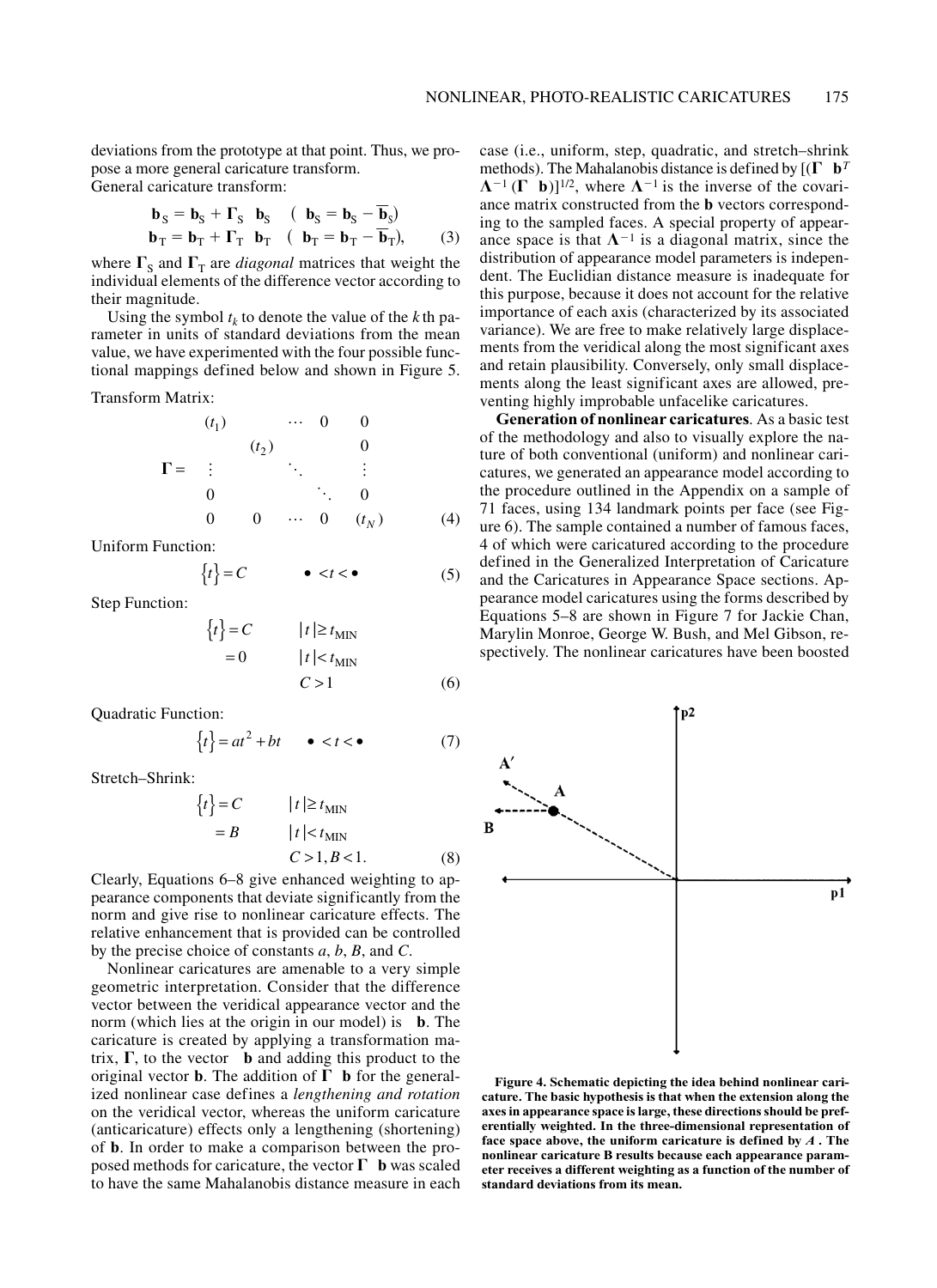deviations from the prototype at that point. Thus, we propose a more general caricature transform.

General caricature transform:

$$
\mathbf{b}_S = \mathbf{b}_S + \mathbf{\Gamma}_S \quad \mathbf{b}_S \qquad (\mathbf{b}_S = \mathbf{b}_S - \overline{\mathbf{b}}_S) \n\mathbf{b}_T = \mathbf{b}_T + \mathbf{\Gamma}_T \quad \mathbf{b}_T \qquad (\mathbf{b}_T = \mathbf{b}_T - \overline{\mathbf{b}}_T),
$$
\n(3)

where  $\Gamma_{\rm S}$  and  $\Gamma_{\rm T}$  are *diagonal* matrices that weight the individual elements of the difference vector according to their magnitude.

Using the symbol  $t_k$  to denote the value of the  $k$ <sup>th</sup> parameter in units of standard deviations from the mean value, we have experimented with the four possible functional mappings defined below and shown in Figure 5.

#### Transform Matrix:

$$
\begin{array}{ccccccccc}\n(t_1) & & \cdots & 0 & 0 \\
(t_2) & & & 0 & & \\
\Gamma = & \vdots & & \ddots & & \vdots \\
0 & & & & 0 & & \\
0 & 0 & \cdots & 0 & & (t_N) & & (4)\n\end{array}
$$

Uniform Function:

$$
\{t\} = C \qquad \bullet < t < \bullet \tag{5}
$$

Step Function:

$$
\begin{aligned} \left\{ t \right\} &= C & \qquad \left| t \right| \ge t_{\text{MIN}} \\ &= 0 & \qquad \left| t \right| < t_{\text{MIN}} \\ & C > 1 & \end{aligned} \tag{6}
$$

Quadratic Function:

$$
\{t\} = at^2 + bt \qquad \bullet < t < \bullet \tag{7}
$$

Stretch–Shrink:

$$
\begin{aligned} \left\{ t \right\} &= C & \qquad \left| t \right| &\geq t_{\text{MIN}} \\ &= B & \qquad \left| t \right| < t_{\text{MIN}} \\ &C > 1, B < 1. \end{aligned} \tag{8}
$$

Clearly, Equations 6–8 give enhanced weighting to ap-> < pearance components that deviate significantly from the norm and give rise to nonlinear caricature effects. The relative enhancement that is provided can be controlled by the precise choice of constants *a*, *b*, *B*, and *C*.

Nonlinear caricatures are amenable to a very simple geometric interpretation. Consider that the difference vector between the veridical appearance vector and the norm (which lies at the origin in our model) is **b**. The caricature is created by applying a transformation matrix,  $\Gamma$ , to the vector **b** and adding this product to the original vector **b**. The addition of  $\Gamma$  **b** for the generalized nonlinear case defines a *lengthening and rotation* on the veridical vector, whereas the uniform caricature (anticaricature) effects only a lengthening (shortening) of **b**. In order to make a comparison between the proposed methods for caricature, the vector  $\Gamma$  **b** was scaled to have the same Mahalanobis distance measure in each case (i.e., uniform, step, quadratic, and stretch–shrink methods). The Mahalanobis distance is defined by  $[(\mathbf{\Gamma} \quad \mathbf{b}^T$  $\Lambda^{-1}$  ( $\Gamma$  **b**)]<sup>1/2</sup>, where  $\Lambda^{-1}$  is the inverse of the covariance matrix constructed from the **b** vectors corresponding to the sampled faces. A special property of appearance space is that  $\Lambda^{-1}$  is a diagonal matrix, since the distribution of appearance model parameters is independent. The Euclidian distance measure is inadequate for this purpose, because it does not account for the relative importance of each axis (characterized by its associated variance). We are free to make relatively large displacements from the veridical along the most significant axes and retain plausibility. Conversely, only small displacements along the least significant axes are allowed, preventing highly improbable unfacelike caricatures.

**Generation of nonlinear caricatures**. As a basic test of the methodology and also to visually explore the nature of both conventional (uniform) and nonlinear caricatures, we generated an appearance model according to the procedure outlined in the Appendix on a sample of 71 faces, using 134 landmark points per face (see Figure 6). The sample contained a number of famous faces, 4 of which were caricatured according to the procedure defined in the Generalized Interpretation of Caricature and the Caricatures in Appearance Space sections. Appearance model caricatures using the forms described by Equations 5–8 are shown in Figure 7 for Jackie Chan, Marylin Monroe, George W. Bush, and Mel Gibson, respectively. The nonlinear caricatures have been boosted



**Figure 4. Schematic depicting the idea behind nonlinear caricature. The basic hypothesis is that when the extension along the axes in appearance space is large, these directions should be preferentially weighted. In the three-dimensional representation of face space above, the uniform caricature is defined by** *A* **. The nonlinear caricature B results because each appearance parameter receives a different weighting as a function of the number of standard deviations from its mean.**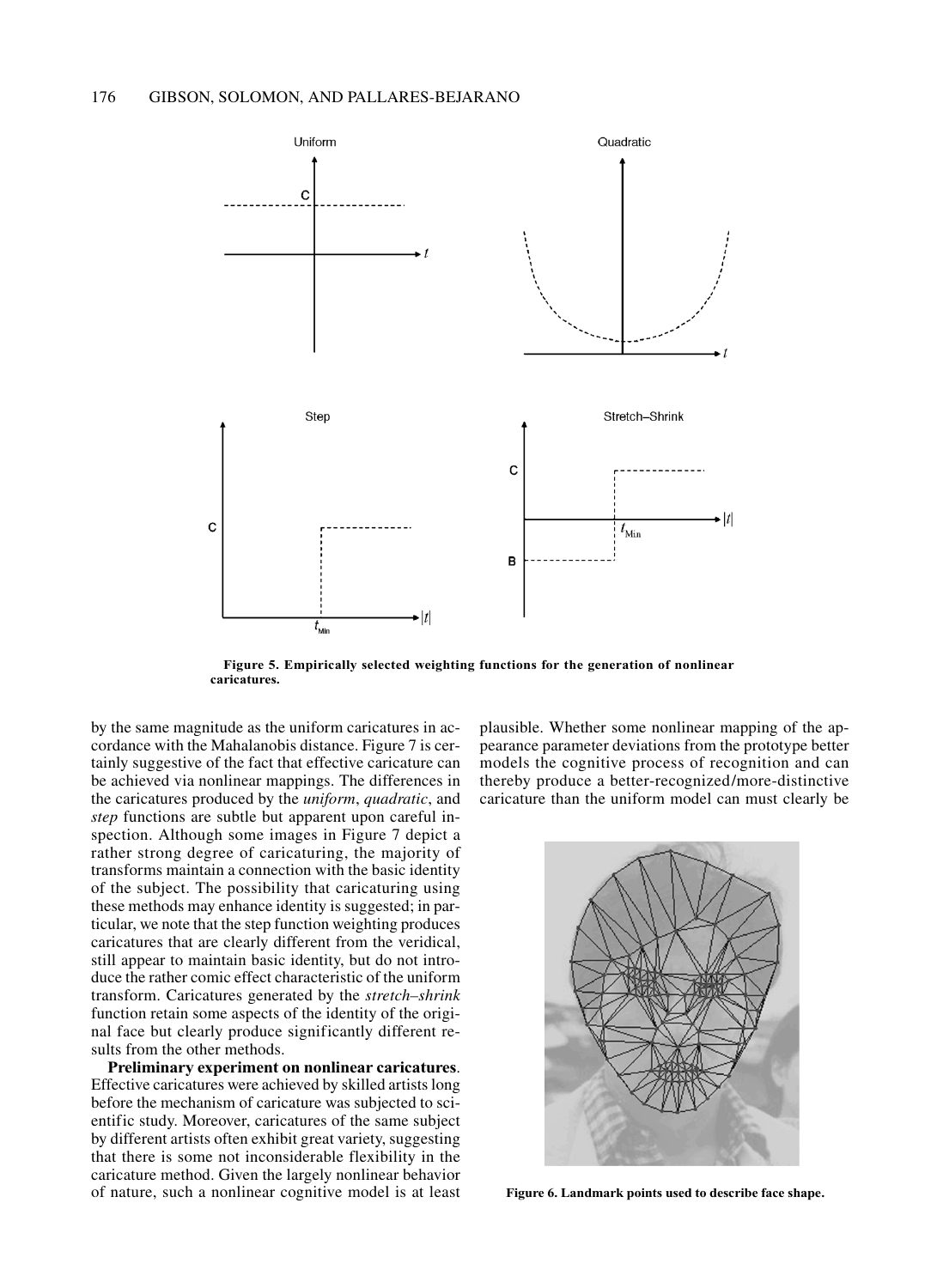

**Figure 5. Empirically selected weighting functions for the generation of nonlinear caricatures.**

by the same magnitude as the uniform caricatures in accordance with the Mahalanobis distance. Figure 7 is certainly suggestive of the fact that effective caricature can be achieved via nonlinear mappings. The differences in the caricatures produced by the *uniform*, *quadratic*, and *step* functions are subtle but apparent upon careful inspection. Although some images in Figure 7 depict a rather strong degree of caricaturing, the majority of transforms maintain a connection with the basic identity of the subject. The possibility that caricaturing using these methods may enhance identity is suggested; in particular, we note that the step function weighting produces caricatures that are clearly different from the veridical, still appear to maintain basic identity, but do not introduce the rather comic effect characteristic of the uniform transform. Caricatures generated by the *stretch–shrink* function retain some aspects of the identity of the original face but clearly produce significantly different results from the other methods.

**Preliminary experiment on nonlinear caricatures**. Effective caricatures were achieved by skilled artists long before the mechanism of caricature was subjected to scientific study. Moreover, caricatures of the same subject by different artists often exhibit great variety, suggesting that there is some not inconsiderable flexibility in the caricature method. Given the largely nonlinear behavior of nature, such a nonlinear cognitive model is at least plausible. Whether some nonlinear mapping of the appearance parameter deviations from the prototype better models the cognitive process of recognition and can thereby produce a better-recognized/more-distinctive caricature than the uniform model can must clearly be



**Figure 6. Landmark points used to describe face shape.**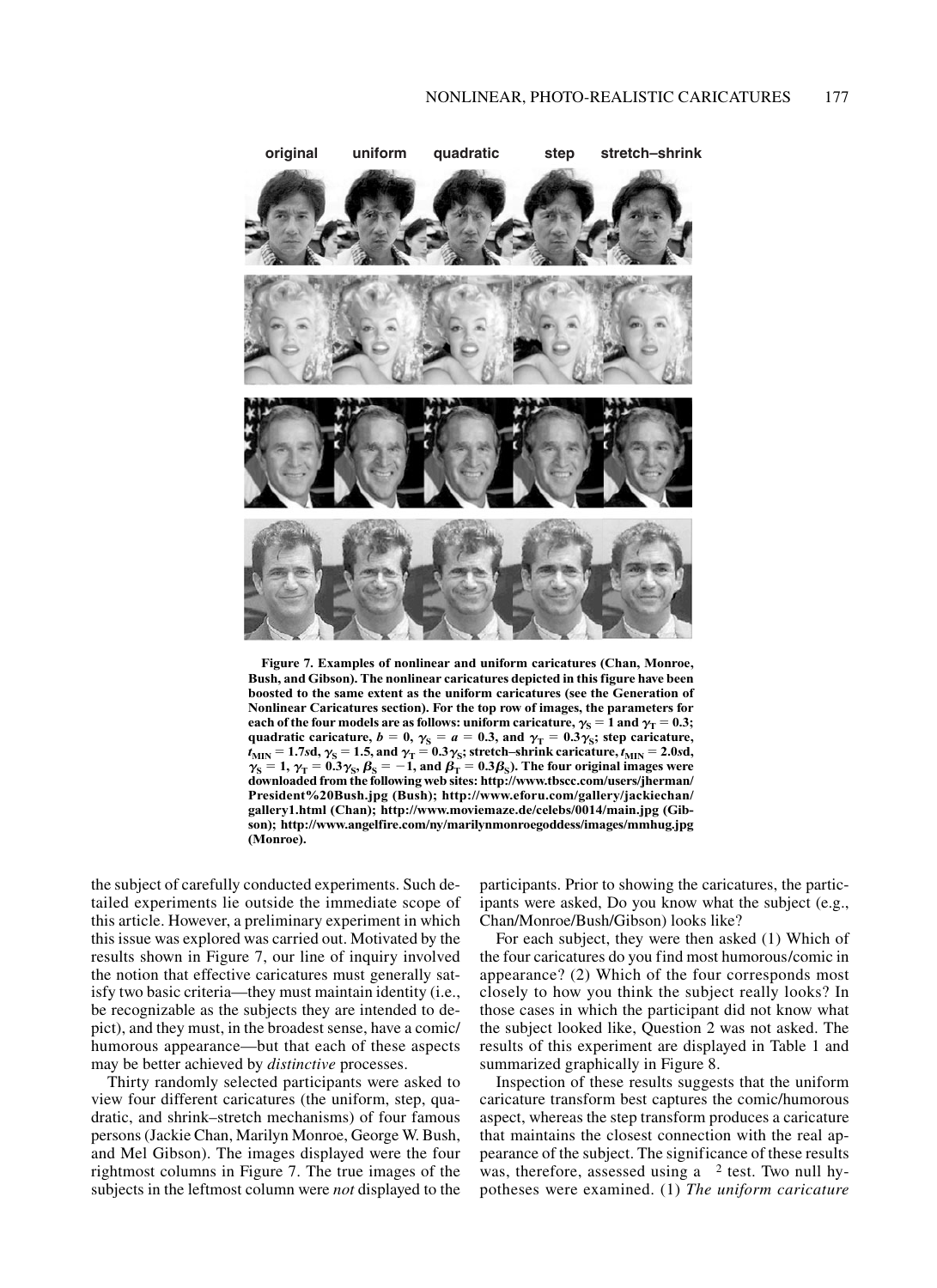

**Figure 7. Examples of nonlinear and uniform caricatures (Chan, Monroe, Bush, and Gibson). The nonlinear caricatures depicted in this figure have been boosted to the same extent as the uniform caricatures (see the Generation of Nonlinear Caricatures section). For the top row of images, the parameters for**  $\epsilon$  ach of the four models are as follows: uniform caricature,  $\gamma_{\text{S}} = 1$  and  $\gamma_{\text{T}} = 0.3;$ quadratic caricature,  $b = 0$ ,  $\gamma_{\rm S} = a = 0.3$ , and  $\gamma_{\rm T} = 0.3\gamma_{\rm S}$ ; step caricature,  $t_{\rm MIN}$  = 1.7*s*d,  $\gamma_{\rm S}$  = 1.5, and  $\gamma_{\rm T}$  = 0.3 $\gamma_{\rm S}$ ; stretch–shrink caricature,  $t_{\rm MIN}$  = 2.0*s*d,  $\gamma_{\rm S} = 1, \gamma_{\rm T} = 0.3\gamma_{\rm S}, \beta_{\rm S} = -1,$  and  $\beta_{\rm T} = 0.3\beta_{\rm S}$ ). The four original images were **downloaded from the following web sites: http://www.tbscc.com/users/jherman/ President%20Bush.jpg (Bush); http://www.eforu.com/gallery/jackiechan/ gallery1.html (Chan); http://www.moviemaze.de/celebs/0014/main.jpg (Gibson); http://www.angelfire.com/ny/marilynmonroegoddess/images/mmhug.jpg (Monroe).**

the subject of carefully conducted experiments. Such detailed experiments lie outside the immediate scope of this article. However, a preliminary experiment in which this issue was explored was carried out. Motivated by the results shown in Figure 7, our line of inquiry involved the notion that effective caricatures must generally satisfy two basic criteria—they must maintain identity (i.e., be recognizable as the subjects they are intended to depict), and they must, in the broadest sense, have a comic/ humorous appearance—but that each of these aspects may be better achieved by *distinctive* processes.

Thirty randomly selected participants were asked to view four different caricatures (the uniform, step, quadratic, and shrink–stretch mechanisms) of four famous persons (Jackie Chan, Marilyn Monroe, George W. Bush, and Mel Gibson). The images displayed were the four rightmost columns in Figure 7. The true images of the subjects in the leftmost column were *not* displayed to the participants. Prior to showing the caricatures, the participants were asked, Do you know what the subject (e.g., Chan/Monroe/Bush/Gibson) looks like?

For each subject, they were then asked (1) Which of the four caricatures do you find most humorous/comic in appearance? (2) Which of the four corresponds most closely to how you think the subject really looks? In those cases in which the participant did not know what the subject looked like, Question 2 was not asked. The results of this experiment are displayed in Table 1 and summarized graphically in Figure 8.

Inspection of these results suggests that the uniform caricature transform best captures the comic/humorous aspect, whereas the step transform produces a caricature that maintains the closest connection with the real appearance of the subject. The significance of these results was, therefore, assessed using a  $2$  test. Two null hypotheses were examined. (1) *The uniform caricature*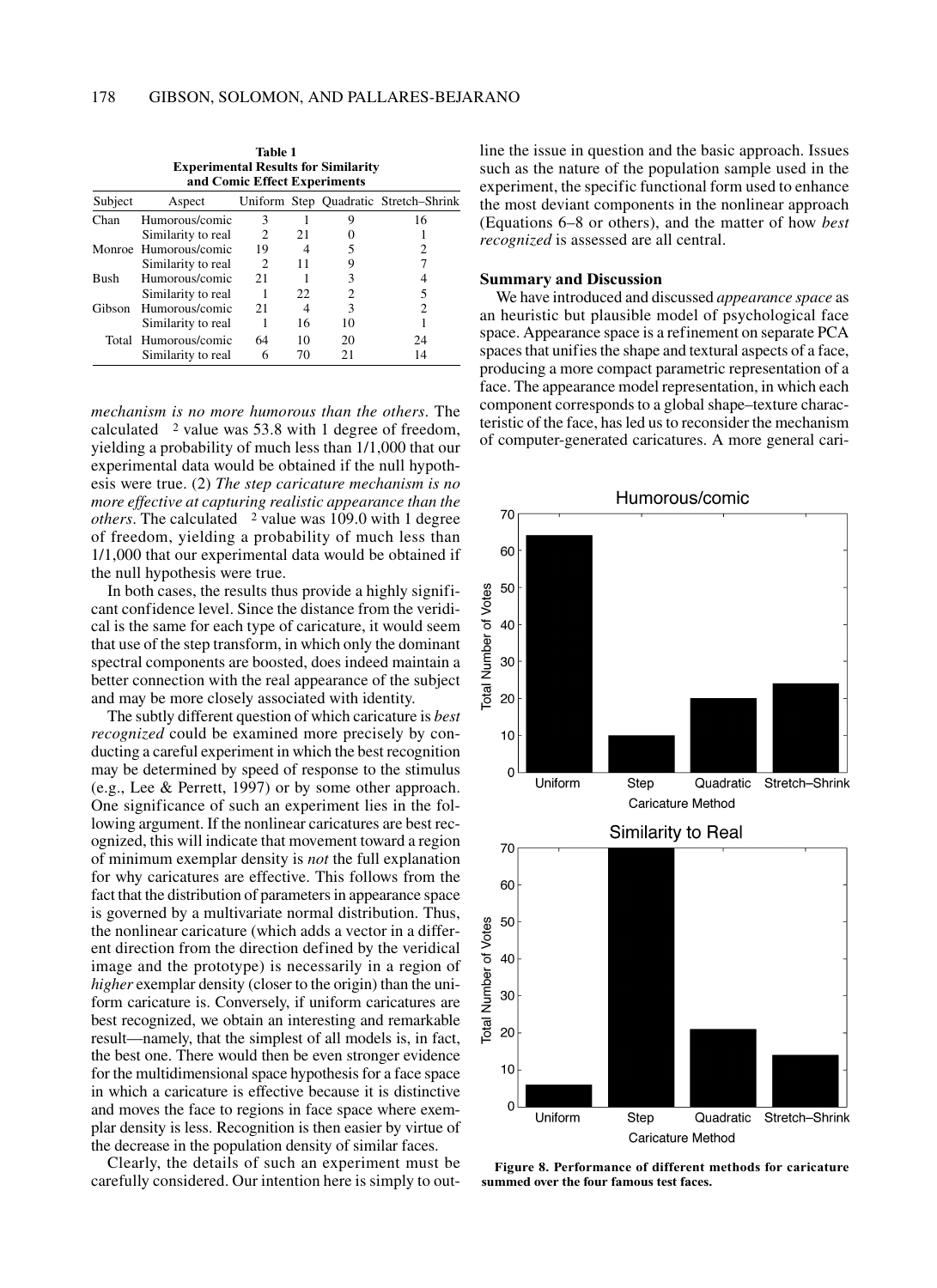| <b>Table 1</b>                                                             |                       |    |    |    |    |  |  |  |  |
|----------------------------------------------------------------------------|-----------------------|----|----|----|----|--|--|--|--|
| <b>Experimental Results for Similarity</b><br>and Comic Effect Experiments |                       |    |    |    |    |  |  |  |  |
|                                                                            |                       |    |    |    |    |  |  |  |  |
| Chan                                                                       | Humorous/comic        | 3  |    | 9  | 16 |  |  |  |  |
|                                                                            | Similarity to real    | 2  | 21 |    |    |  |  |  |  |
|                                                                            | Monroe Humorous/comic | 19 |    | 5  | 2  |  |  |  |  |
|                                                                            | Similarity to real    | 2  | 11 |    |    |  |  |  |  |
| Bush                                                                       | Humorous/comic        | 21 |    | 3  |    |  |  |  |  |
|                                                                            | Similarity to real    | 1  | 22 | 2  | 5  |  |  |  |  |
| Gibson                                                                     | Humorous/comic        | 21 | 4  | 3  | 2  |  |  |  |  |
|                                                                            | Similarity to real    | 1  | 16 | 10 |    |  |  |  |  |
|                                                                            | Total Humorous/comic  | 64 | 10 | 20 | 24 |  |  |  |  |
|                                                                            | Similarity to real    | 6  | 70 | 21 | 14 |  |  |  |  |

*mechanism is no more humorous than the others*. The calculated  $2$  value was 53.8 with 1 degree of freedom, yielding a probability of much less than 1/1,000 that our experimental data would be obtained if the null hypothesis were true. (2) *The step caricature mechanism is no more effective at capturing realistic appearance than the others*. The calculated <sup>2</sup> value was 109.0 with 1 degree of freedom, yielding a probability of much less than 1/1,000 that our experimental data would be obtained if the null hypothesis were true.

In both cases, the results thus provide a highly significant confidence level. Since the distance from the veridical is the same for each type of caricature, it would seem that use of the step transform, in which only the dominant spectral components are boosted, does indeed maintain a better connection with the real appearance of the subject and may be more closely associated with identity.

The subtly different question of which caricature is *best recognized* could be examined more precisely by conducting a careful experiment in which the best recognition may be determined by speed of response to the stimulus (e.g., Lee & Perrett, 1997) or by some other approach. One significance of such an experiment lies in the following argument. If the nonlinear caricatures are best recognized, this will indicate that movement toward a region of minimum exemplar density is *not* the full explanation for why caricatures are effective. This follows from the fact that the distribution of parameters in appearance space is governed by a multivariate normal distribution. Thus, the nonlinear caricature (which adds a vector in a different direction from the direction defined by the veridical image and the prototype) is necessarily in a region of *higher* exemplar density (closer to the origin) than the uniform caricature is. Conversely, if uniform caricatures are best recognized, we obtain an interesting and remarkable result—namely, that the simplest of all models is, in fact, the best one. There would then be even stronger evidence for the multidimensional space hypothesis for a face space in which a caricature is effective because it is distinctive and moves the face to regions in face space where exemplar density is less. Recognition is then easier by virtue of the decrease in the population density of similar faces.

Clearly, the details of such an experiment must be carefully considered. Our intention here is simply to outline the issue in question and the basic approach. Issues such as the nature of the population sample used in the experiment, the specific functional form used to enhance the most deviant components in the nonlinear approach (Equations 6–8 or others), and the matter of how *best recognized* is assessed are all central.

#### **Summary and Discussion**

We have introduced and discussed *appearance space* as an heuristic but plausible model of psychological face space. Appearance space is a refinement on separate PCA spaces that unifies the shape and textural aspects of a face, producing a more compact parametric representation of a face. The appearance model representation, in which each component corresponds to a global shape–texture characteristic of the face, has led us to reconsider the mechanism of computer-generated caricatures. A more general cari-



**Figure 8. Performance of different methods for caricature summed over the four famous test faces.**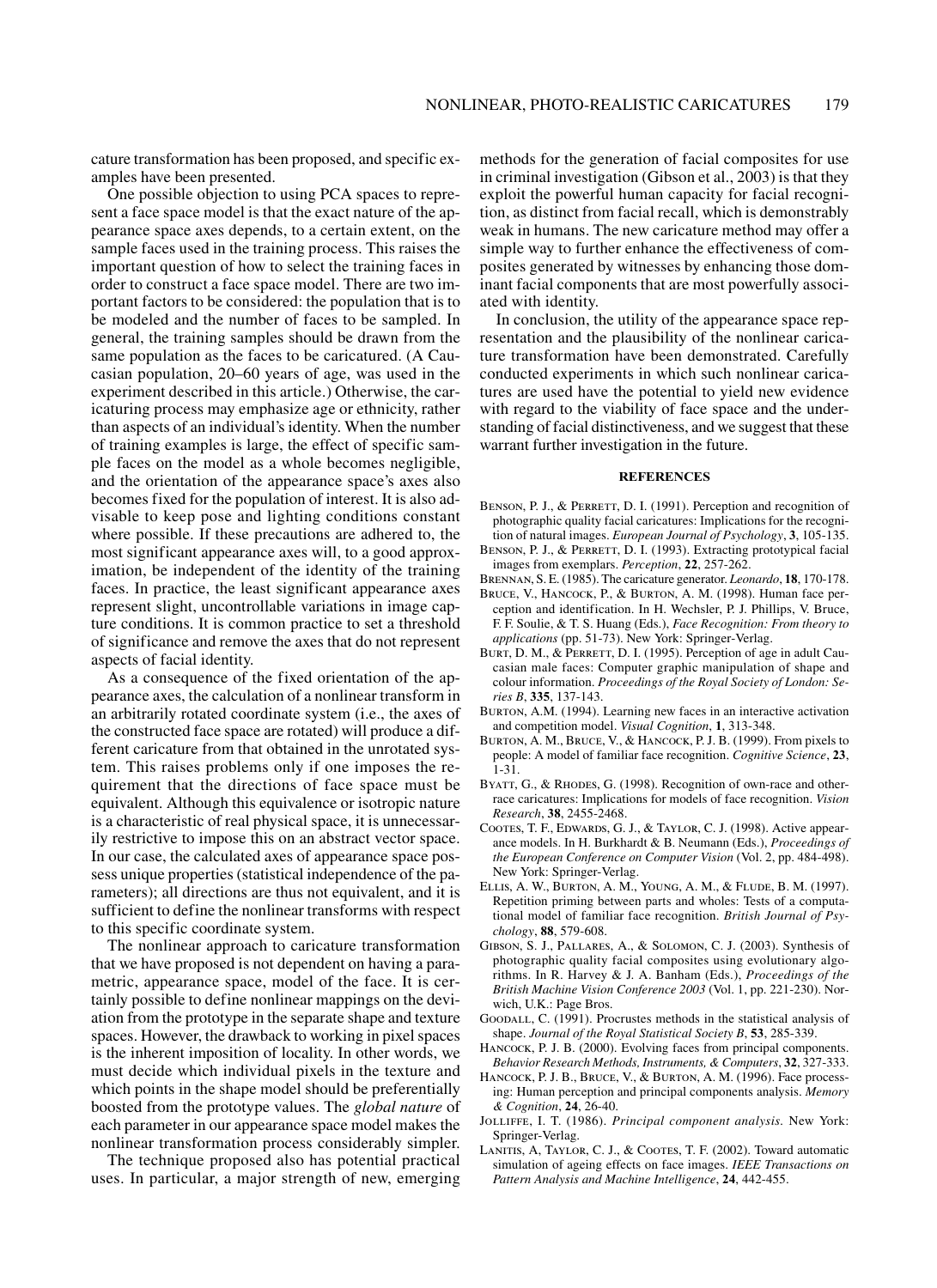cature transformation has been proposed, and specific examples have been presented.

One possible objection to using PCA spaces to represent a face space model is that the exact nature of the appearance space axes depends, to a certain extent, on the sample faces used in the training process. This raises the important question of how to select the training faces in order to construct a face space model. There are two important factors to be considered: the population that is to be modeled and the number of faces to be sampled. In general, the training samples should be drawn from the same population as the faces to be caricatured. (A Caucasian population, 20–60 years of age, was used in the experiment described in this article.) Otherwise, the caricaturing process may emphasize age or ethnicity, rather than aspects of an individual's identity. When the number of training examples is large, the effect of specific sample faces on the model as a whole becomes negligible, and the orientation of the appearance space's axes also becomes fixed for the population of interest. It is also advisable to keep pose and lighting conditions constant where possible. If these precautions are adhered to, the most significant appearance axes will, to a good approximation, be independent of the identity of the training faces. In practice, the least significant appearance axes represent slight, uncontrollable variations in image capture conditions. It is common practice to set a threshold of significance and remove the axes that do not represent aspects of facial identity.

As a consequence of the fixed orientation of the appearance axes, the calculation of a nonlinear transform in an arbitrarily rotated coordinate system (i.e., the axes of the constructed face space are rotated) will produce a different caricature from that obtained in the unrotated system. This raises problems only if one imposes the requirement that the directions of face space must be equivalent. Although this equivalence or isotropic nature is a characteristic of real physical space, it is unnecessarily restrictive to impose this on an abstract vector space. In our case, the calculated axes of appearance space possess unique properties (statistical independence of the parameters); all directions are thus not equivalent, and it is sufficient to define the nonlinear transforms with respect to this specific coordinate system.

The nonlinear approach to caricature transformation that we have proposed is not dependent on having a parametric, appearance space, model of the face. It is certainly possible to define nonlinear mappings on the deviation from the prototype in the separate shape and texture spaces. However, the drawback to working in pixel spaces is the inherent imposition of locality. In other words, we must decide which individual pixels in the texture and which points in the shape model should be preferentially boosted from the prototype values. The *global nature* of each parameter in our appearance space model makes the nonlinear transformation process considerably simpler.

The technique proposed also has potential practical uses. In particular, a major strength of new, emerging

methods for the generation of facial composites for use in criminal investigation (Gibson et al., 2003) is that they exploit the powerful human capacity for facial recognition, as distinct from facial recall, which is demonstrably weak in humans. The new caricature method may offer a simple way to further enhance the effectiveness of composites generated by witnesses by enhancing those dominant facial components that are most powerfully associated with identity.

In conclusion, the utility of the appearance space representation and the plausibility of the nonlinear caricature transformation have been demonstrated. Carefully conducted experiments in which such nonlinear caricatures are used have the potential to yield new evidence with regard to the viability of face space and the understanding of facial distinctiveness, and we suggest that these warrant further investigation in the future.

#### **REFERENCES**

- BENSON, P. J., & PERRETT, D. I. (1991). Perception and recognition of photographic quality facial caricatures: Implications for the recognition of natural images. *European Journal of Psychology*, **3**, 105-135.
- BENSON, P. J., & PERRETT, D. I. (1993). Extracting prototypical facial images from exemplars. *Perception*, **22**, 257-262.
- Brennan, S. E. (1985). The caricature generator. *Leonardo*, **18**, 170-178.
- Bruce, V., Hancock, P., & Burton, A. M. (1998). Human face perception and identification. In H. Wechsler, P. J. Phillips, V. Bruce, F. F. Soulie, & T. S. Huang (Eds.), *Face Recognition: From theory to applications* (pp. 51-73). New York: Springer-Verlag.
- BURT, D. M., & PERRETT, D. I. (1995). Perception of age in adult Caucasian male faces: Computer graphic manipulation of shape and colour information. *Proceedings of the Royal Society of London: Series B*, **335**, 137-143.
- Burton, A.M. (1994). Learning new faces in an interactive activation and competition model. *Visual Cognition*, **1**, 313-348.
- Burton, A. M., Bruce, V., & Hancock, P. J. B. (1999). From pixels to people: A model of familiar face recognition. *Cognitive Science*, **23**, 1-31.
- BYATT, G., & RHODES, G. (1998). Recognition of own-race and otherrace caricatures: Implications for models of face recognition. *Vision Research*, **38**, 2455-2468.
- COOTES, T. F., EDWARDS, G. J., & TAYLOR, C. J. (1998). Active appearance models. In H. Burkhardt & B. Neumann (Eds.), *Proceedings of the European Conference on Computer Vision* (Vol. 2, pp. 484-498). New York: Springer-Verlag.
- Ellis, A. W., Burton, A. M., Young, A. M., & Flude, B. M. (1997). Repetition priming between parts and wholes: Tests of a computational model of familiar face recognition. *British Journal of Psychology*, **88**, 579-608.
- Gibson, S. J., Pallares, A., & Solomon, C. J. (2003). Synthesis of photographic quality facial composites using evolutionary algorithms. In R. Harvey & J. A. Banham (Eds.), *Proceedings of the British Machine Vision Conference 2003* (Vol. 1, pp. 221-230). Norwich, U.K.: Page Bros.
- Goodall, C. (1991). Procrustes methods in the statistical analysis of shape. *Journal of the Royal Statistical Society B*, **53**, 285-339.
- HANCOCK, P. J. B. (2000). Evolving faces from principal components. *Behavior Research Methods, Instruments, & Computers*, **32**, 327-333.
- HANCOCK, P. J. B., BRUCE, V., & BURTON, A. M. (1996). Face processing: Human perception and principal components analysis. *Memory & Cognition*, **24**, 26-40.
- Jolliffe, I. T. (1986). *Principal component analysis.* New York: Springer-Verlag.
- LANITIS, A, TAYLOR, C. J., & COOTES, T. F. (2002). Toward automatic simulation of ageing effects on face images. *IEEE Transactions on Pattern Analysis and Machine Intelligence*, **24**, 442-455.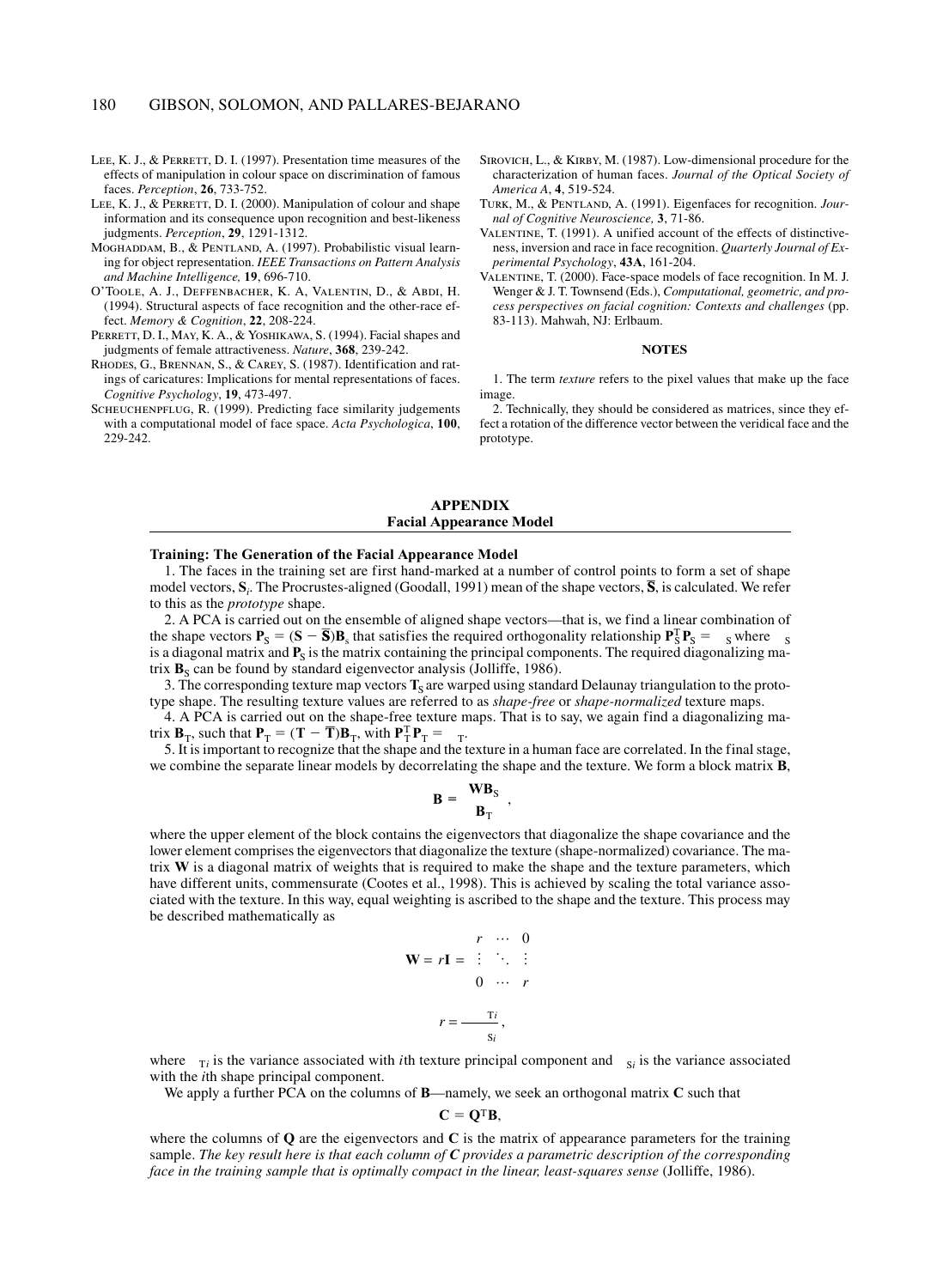- LEE, K. J., & PERRETT, D. I. (1997). Presentation time measures of the effects of manipulation in colour space on discrimination of famous faces. *Perception*, **26**, 733-752.
- LEE, K. J., & PERRETT, D. I. (2000). Manipulation of colour and shape information and its consequence upon recognition and best-likeness judgments. *Perception*, **29**, 1291-1312.
- Moghaddam, B., & Pentland, A. (1997). Probabilistic visual learning for object representation. *IEEE Transactions on Pattern Analysis and Machine Intelligence,* **19**, 696-710.
- O'Toole, A. J., Deffenbacher, K. A, Valentin, D., & Abdi, H. (1994). Structural aspects of face recognition and the other-race effect. *Memory & Cognition*, **22**, 208-224.
- PERRETT, D. I., MAY, K. A., & YOSHIKAWA, S. (1994). Facial shapes and judgments of female attractiveness. *Nature*, **368**, 239-242.
- Rhodes, G., Brennan, S., & Carey, S. (1987). Identification and ratings of caricatures: Implications for mental representations of faces. *Cognitive Psychology*, **19**, 473-497.
- SCHEUCHENPFLUG, R. (1999). Predicting face similarity judgements with a computational model of face space. *Acta Psychologica*, **100**, 229-242.
- SIROVICH, L., & KIRBY, M. (1987). Low-dimensional procedure for the characterization of human faces. *Journal of the Optical Society of America A*, **4**, 519-524.
- Turk, M., & Pentland, A. (1991). Eigenfaces for recognition. *Journal of Cognitive Neuroscience,* **3**, 71-86.
- VALENTINE, T. (1991). A unified account of the effects of distinctiveness, inversion and race in face recognition. *Quarterly Journal of Experimental Psychology*, **43A**, 161-204.
- Valentine, T. (2000). Face-space models of face recognition. In M. J. Wenger & J. T. Townsend (Eds.), *Computational, geometric, and process perspectives on facial cognition: Contexts and challenges* (pp. 83-113). Mahwah, NJ: Erlbaum.

#### **NOTES**

1. The term *texture* refers to the pixel values that make up the face image.

2. Technically, they should be considered as matrices, since they effect a rotation of the difference vector between the veridical face and the prototype.

#### **APPENDIX Facial Appearance Model**

#### **Training: The Generation of the Facial Appearance Model**

1. The faces in the training set are first hand-marked at a number of control points to form a set of shape model vectors,  $S_i$ . The Procrustes-aligned (Goodall, 1991) mean of the shape vectors,  $\bar{S}$ , is calculated. We refer to this as the *prototype* shape.

2. A PCA is carried out on the ensemble of aligned shape vectors—that is, we find a linear combination of the shape vectors  $P_S = (S - \overline{S})B_s$  that satisfies the required orthogonality relationship  $P_S^T P_S = -S$  where  $S$ <br>is a diagonal matrix and  $P_S$  is the matrix containing the principal components. The required diagonalizing m is a diagonal matrix and  $P_S$  is the matrix containing the principal components. The required diagonalizing matrix  $\mathbf{B}_s$  can be found by standard eigenvector analysis (Jolliffe, 1986).

3. The corresponding texture map vectors  $T_s$  are warped using standard Delaunay triangulation to the prototype shape. The resulting texture values are referred to as *shape-free* or *shape-normalized* texture maps.

4. A PCA is carried out on the shape-free texture maps. That is to say, we again find a diagonalizing matrix  $\mathbf{B}_{T}$ , such that  $\mathbf{P}_{T} = (\mathbf{T} - \overline{\mathbf{T}})\mathbf{B}_{T}$ , with  $\mathbf{P}_{T}^{T}\mathbf{P}_{T} = \mathbf{T}$ .<br>5. It is important to recognize that the shape and the t

5. It is important to recognize that the shape and the texture in a human face are correlated. In the final stage, we combine the separate linear models by decorrelating the shape and the texture. We form a block matrix **B**,

$$
\mathbf{B} = \frac{\mathbf{W}\mathbf{B}_{\mathrm{S}}}{\mathbf{B}_{\mathrm{T}}},
$$

where the upper element of the block contains the eigenvectors that diagonalize the shape covariance and the lower element comprises the eigenvectors that diagonalize the texture (shape-normalized) covariance. The matrix **W** is a diagonal matrix of weights that is required to make the shape and the texture parameters, which have different units, commensurate (Cootes et al., 1998). This is achieved by scaling the total variance associated with the texture. In this way, equal weighting is ascribed to the shape and the texture. This process may be described mathematically as

$$
\mathbf{W} = r\mathbf{I} = \begin{bmatrix} r & \cdots & 0 \\ \vdots & \ddots & \vdots \\ 0 & \cdots & r \end{bmatrix}
$$

$$
r = \frac{-\mathbf{T}i}{\mathbf{s}_i},
$$

where  $T_i$  is the variance associated with *i*th texture principal component and  $S_i$  is the variance associated with the *i*th shape principal component.

We apply a further PCA on the columns of **B**—namely, we seek an orthogonal matrix **C** such that

$$
\mathbf{C} = \mathbf{Q}^{\mathrm{T}} \mathbf{B},
$$

where the columns of **Q** are the eigenvectors and **C** is the matrix of appearance parameters for the training sample. *The key result here is that each column of C provides a parametric description of the corresponding face in the training sample that is optimally compact in the linear, least-squares sense* (Jolliffe, 1986).